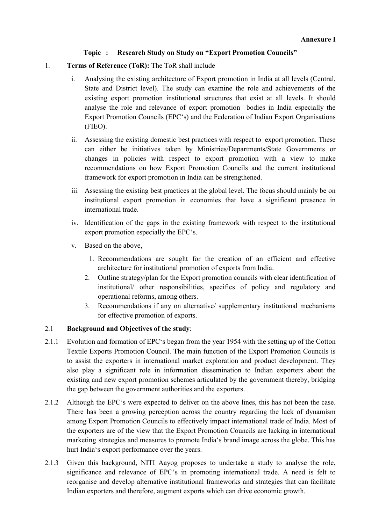## Topic : Research Study on Study on "Export Promotion Councils"

- 1. Terms of Reference (ToR): The ToR shall include
	- i. Analysing the existing architecture of Export promotion in India at all levels (Central, State and District level). The study can examine the role and achievements of the existing export promotion institutional structures that exist at all levels. It should analyse the role and relevance of export promotion bodies in India especially the Export Promotion Councils (EPC's) and the Federation of Indian Export Organisations (FIEO).
	- ii. Assessing the existing domestic best practices with respect to export promotion. These can either be initiatives taken by Ministries/Departments/State Governments or changes in policies with respect to export promotion with a view to make recommendations on how Export Promotion Councils and the current institutional framework for export promotion in India can be strengthened.
	- iii. Assessing the existing best practices at the global level. The focus should mainly be on institutional export promotion in economies that have a significant presence in international trade.
	- iv. Identification of the gaps in the existing framework with respect to the institutional export promotion especially the EPC's.
	- v. Based on the above,
		- 1. Recommendations are sought for the creation of an efficient and effective architecture for institutional promotion of exports from India.
		- 2. Outline strategy/plan for the Export promotion councils with clear identification of institutional/ other responsibilities, specifics of policy and regulatory and operational reforms, among others.
		- 3. Recommendations if any on alternative/ supplementary institutional mechanisms for effective promotion of exports.

## 2.1 Background and Objectives of the study:

- 2.1.1 Evolution and formation of EPC's began from the year 1954 with the setting up of the Cotton Textile Exports Promotion Council. The main function of the Export Promotion Councils is to assist the exporters in international market exploration and product development. They also play a significant role in information dissemination to Indian exporters about the existing and new export promotion schemes articulated by the government thereby, bridging the gap between the government authorities and the exporters.
- 2.1.2 Although the EPC's were expected to deliver on the above lines, this has not been the case. There has been a growing perception across the country regarding the lack of dynamism among Export Promotion Councils to effectively impact international trade of India. Most of the exporters are of the view that the Export Promotion Councils are lacking in international marketing strategies and measures to promote India's brand image across the globe. This has hurt India's export performance over the years.
- 2.1.3 Given this background, NITI Aayog proposes to undertake a study to analyse the role, significance and relevance of EPC's in promoting international trade. A need is felt to reorganise and develop alternative institutional frameworks and strategies that can facilitate Indian exporters and therefore, augment exports which can drive economic growth.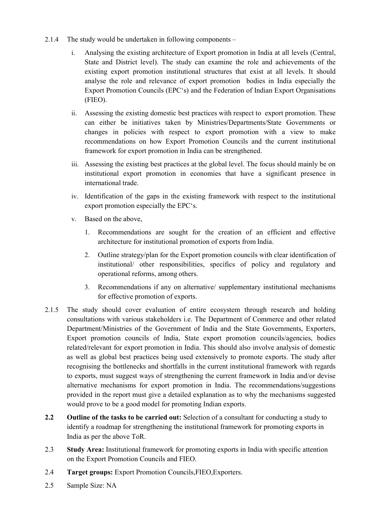- 2.1.4 The study would be undertaken in following components
	- i. Analysing the existing architecture of Export promotion in India at all levels (Central, State and District level). The study can examine the role and achievements of the existing export promotion institutional structures that exist at all levels. It should analyse the role and relevance of export promotion bodies in India especially the Export Promotion Councils (EPC's) and the Federation of Indian Export Organisations (FIEO).
	- ii. Assessing the existing domestic best practices with respect to export promotion. These can either be initiatives taken by Ministries/Departments/State Governments or changes in policies with respect to export promotion with a view to make recommendations on how Export Promotion Councils and the current institutional framework for export promotion in India can be strengthened.
	- iii. Assessing the existing best practices at the global level. The focus should mainly be on institutional export promotion in economies that have a significant presence in international trade.
	- iv. Identification of the gaps in the existing framework with respect to the institutional export promotion especially the EPC's.
	- v. Based on the above,
		- 1. Recommendations are sought for the creation of an efficient and effective architecture for institutional promotion of exports from India.
		- 2. Outline strategy/plan for the Export promotion councils with clear identification of institutional/ other responsibilities, specifics of policy and regulatory and operational reforms, among others.
		- 3. Recommendations if any on alternative/ supplementary institutional mechanisms for effective promotion of exports.
- 2.1.5 The study should cover evaluation of entire ecosystem through research and holding consultations with various stakeholders i.e. The Department of Commerce and other related Department/Ministries of the Government of India and the State Governments, Exporters, Export promotion councils of India, State export promotion councils/agencies, bodies related/relevant for export promotion in India. This should also involve analysis of domestic as well as global best practices being used extensively to promote exports. The study after recognising the bottlenecks and shortfalls in the current institutional framework with regards to exports, must suggest ways of strengthening the current framework in India and/or devise alternative mechanisms for export promotion in India. The recommendations/suggestions provided in the report must give a detailed explanation as to why the mechanisms suggested would prove to be a good model for promoting Indian exports.
- 2.2 Outline of the tasks to be carried out: Selection of a consultant for conducting a study to identify a roadmap for strengthening the institutional framework for promoting exports in India as per the above ToR.
- 2.3 Study Area: Institutional framework for promoting exports in India with specific attention on the Export Promotion Councils and FIEO.
- 2.4 Target groups: Export Promotion Councils,FIEO,Exporters.
- 2.5 Sample Size: NA